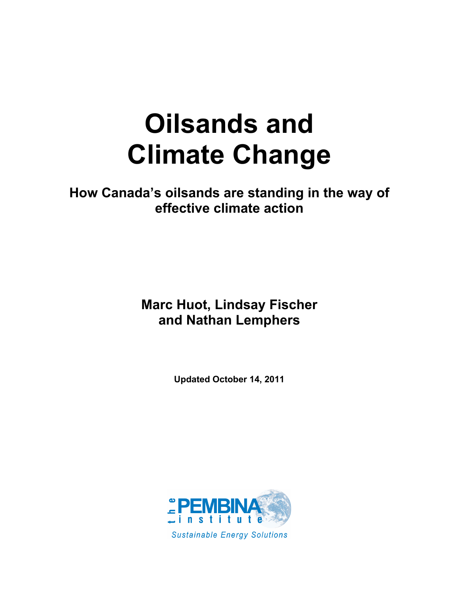# **Oilsands and Climate Change**

**How Canada's oilsands are standing in the way of effective climate action**

> **Marc Huot, Lindsay Fischer and Nathan Lemphers**

> > **Updated October 14, 2011**

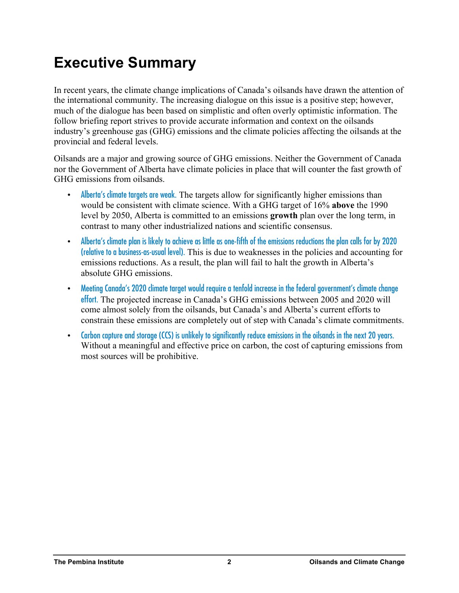# **Executive Summary**

In recent years, the climate change implications of Canada's oilsands have drawn the attention of the international community. The increasing dialogue on this issue is a positive step; however, much of the dialogue has been based on simplistic and often overly optimistic information. The follow briefing report strives to provide accurate information and context on the oilsands industry's greenhouse gas (GHG) emissions and the climate policies affecting the oilsands at the provincial and federal levels.

Oilsands are a major and growing source of GHG emissions. Neither the Government of Canada nor the Government of Alberta have climate policies in place that will counter the fast growth of GHG emissions from oilsands.

- Alberta's climate targets are weak. The targets allow for significantly higher emissions than would be consistent with climate science. With a GHG target of 16% **above** the 1990 level by 2050, Alberta is committed to an emissions **growth** plan over the long term, in contrast to many other industrialized nations and scientific consensus.
- Alberta's climate plan is likely to achieve as little as one-fifth of the emissions reductions the plan calls for by 2020 (relative to a business-as-usual level). This is due to weaknesses in the policies and accounting for emissions reductions. As a result, the plan will fail to halt the growth in Alberta's absolute GHG emissions.
- Meeting Canada's 2020 climate target would require a tenfold increase in the federal government's climate change effort. The projected increase in Canada's GHG emissions between 2005 and 2020 will come almost solely from the oilsands, but Canada's and Alberta's current efforts to constrain these emissions are completely out of step with Canada's climate commitments.
- Carbon capture and storage (CCS) is unlikely to significantly reduce emissions in the oilsands in the next 20 years. Without a meaningful and effective price on carbon, the cost of capturing emissions from most sources will be prohibitive.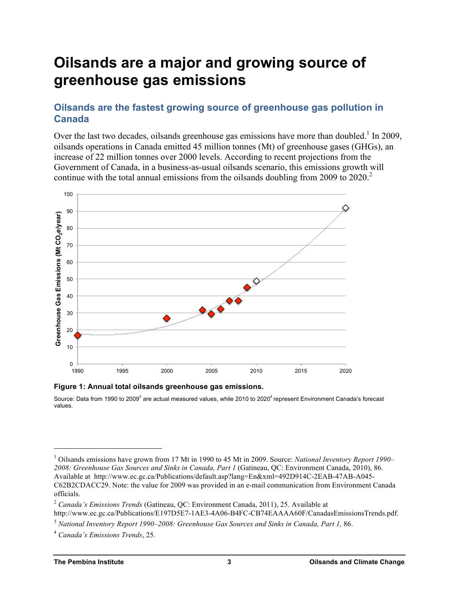# **Oilsands are a major and growing source of greenhouse gas emissions**

# **Oilsands are the fastest growing source of greenhouse gas pollution in Canada**

Over the last two decades, oilsands greenhouse gas emissions have more than doubled.<sup>1</sup> In 2009, oilsands operations in Canada emitted 45 million tonnes (Mt) of greenhouse gases (GHGs), an increase of 22 million tonnes over 2000 levels. According to recent projections from the Government of Canada, in a business-as-usual oilsands scenario, this emissions growth will continue with the total annual emissions from the oilsands doubling from 2009 to  $2020<sup>2</sup>$ .



**Figure 1: Annual total oilsands greenhouse gas emissions.** 

Source: Data from 1990 to 2009<sup>3</sup> are actual measured values, while 2010 to 2020<sup>4</sup> represent Environment Canada's forecast values.

 <sup>1</sup> Oilsands emissions have grown from 17 Mt in 1990 to 45 Mt in 2009. Source: *National Inventory Report 1990– 2008: Greenhouse Gas Sources and Sinks in Canada, Part 1* (Gatineau, QC: Environment Canada, 2010), 86. Available at http://www.ec.gc.ca/Publications/default.asp?lang=En&xml=492D914C-2EAB-47AB-A045- C62B2CDACC29. Note: the value for 2009 was provided in an e-mail communication from Environment Canada officials.

<sup>2</sup> *Canada's Emissions Trends* (Gatineau, QC: Environment Canada, 2011), 25. Available at http://www.ec.gc.ca/Publications/E197D5E7-1AE3-4A06-B4FC-CB74EAAAA60F/CanadasEmissionsTrends.pdf.

<sup>3</sup> *National Inventory Report 1990–2008: Greenhouse Gas Sources and Sinks in Canada, Part 1,* 86.

<sup>4</sup> *Canada's Emissions Trends*, 25.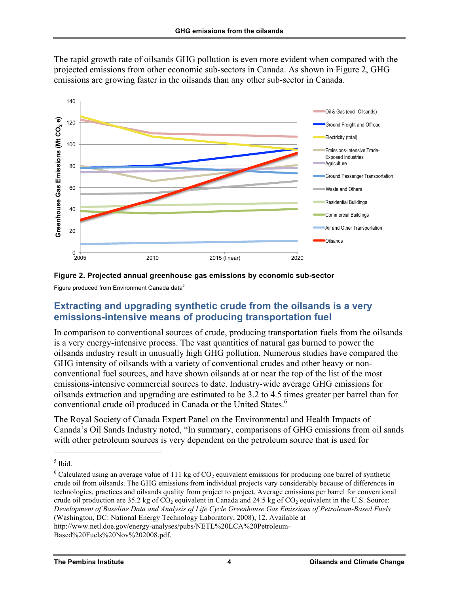The rapid growth rate of oilsands GHG pollution is even more evident when compared with the projected emissions from other economic sub-sectors in Canada. As shown in Figure 2, GHG emissions are growing faster in the oilsands than any other sub-sector in Canada.





Figure produced from Environment Canada data<sup>5</sup>

# **Extracting and upgrading synthetic crude from the oilsands is a very emissions-intensive means of producing transportation fuel**

In comparison to conventional sources of crude, producing transportation fuels from the oilsands is a very energy-intensive process. The vast quantities of natural gas burned to power the oilsands industry result in unusually high GHG pollution. Numerous studies have compared the GHG intensity of oilsands with a variety of conventional crudes and other heavy or nonconventional fuel sources, and have shown oilsands at or near the top of the list of the most emissions-intensive commercial sources to date. Industry-wide average GHG emissions for oilsands extraction and upgrading are estimated to be 3.2 to 4.5 times greater per barrel than for conventional crude oil produced in Canada or the United States.<sup>6</sup>

The Royal Society of Canada Expert Panel on the Environmental and Health Impacts of Canada's Oil Sands Industry noted, "In summary, comparisons of GHG emissions from oil sands with other petroleum sources is very dependent on the petroleum source that is used for

 $<sup>5</sup>$  Ibid.</sup>

 $6$  Calculated using an average value of 111 kg of CO<sub>2</sub> equivalent emissions for producing one barrel of synthetic crude oil from oilsands. The GHG emissions from individual projects vary considerably because of differences in technologies, practices and oilsands quality from project to project. Average emissions per barrel for conventional crude oil production are  $35.2$  kg of  $CO<sub>2</sub>$  equivalent in Canada and  $24.5$  kg of  $CO<sub>2</sub>$  equivalent in the U.S. Source: *Development of Baseline Data and Analysis of Life Cycle Greenhouse Gas Emissions of Petroleum-Based Fuels* (Washington, DC: National Energy Technology Laboratory, 2008), 12. Available at http://www.netl.doe.gov/energy-analyses/pubs/NETL%20LCA%20Petroleum-Based%20Fuels%20Nov%202008.pdf.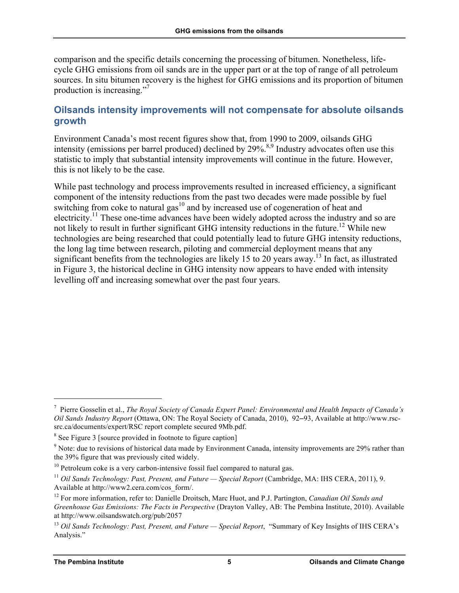comparison and the specific details concerning the processing of bitumen. Nonetheless, lifecycle GHG emissions from oil sands are in the upper part or at the top of range of all petroleum sources. In situ bitumen recovery is the highest for GHG emissions and its proportion of bitumen production is increasing."7

### **Oilsands intensity improvements will not compensate for absolute oilsands growth**

Environment Canada's most recent figures show that, from 1990 to 2009, oilsands GHG intensity (emissions per barrel produced) declined by 29%.<sup>8,9</sup> Industry advocates often use this statistic to imply that substantial intensity improvements will continue in the future. However, this is not likely to be the case.

While past technology and process improvements resulted in increased efficiency, a significant component of the intensity reductions from the past two decades were made possible by fuel switching from coke to natural gas $10$  and by increased use of cogeneration of heat and electricity.<sup>11</sup> These one-time advances have been widely adopted across the industry and so are not likely to result in further significant GHG intensity reductions in the future.<sup>12</sup> While new technologies are being researched that could potentially lead to future GHG intensity reductions, the long lag time between research, piloting and commercial deployment means that any significant benefits from the technologies are likely 15 to 20 years away.<sup>13</sup> In fact, as illustrated in Figure 3, the historical decline in GHG intensity now appears to have ended with intensity levelling off and increasing somewhat over the past four years.

 <sup>7</sup> Pierre Gosselin et al., *The Royal Society of Canada Expert Panel: Environmental and Health Impacts of Canada's Oil Sands Industry Report* (Ottawa, ON: The Royal Society of Canada, 2010), 92–93, Available at http://www.rscsrc.ca/documents/expert/RSC report complete secured 9Mb.pdf.

<sup>&</sup>lt;sup>8</sup> See Figure 3 [source provided in footnote to figure caption]

<sup>&</sup>lt;sup>9</sup> Note: due to revisions of historical data made by Environment Canada, intensity improvements are 29% rather than the 39% figure that was previously cited widely.

 $10$  Petroleum coke is a very carbon-intensive fossil fuel compared to natural gas.

<sup>&</sup>lt;sup>11</sup> Oil Sands Technology: Past, Present, and Future — Special Report (Cambridge, MA: IHS CERA, 2011), 9. Available at http://www2.cera.com/cos\_form/.

<sup>12</sup> For more information, refer to: Danielle Droitsch, Marc Huot, and P.J. Partington, *Canadian Oil Sands and Greenhouse Gas Emissions: The Facts in Perspective* (Drayton Valley, AB: The Pembina Institute, 2010). Available at http://www.oilsandswatch.org/pub/2057

<sup>&</sup>lt;sup>13</sup> *Oil Sands Technology: Past, Present, and Future — Special Report, "Summary of Key Insights of IHS CERA's* Analysis."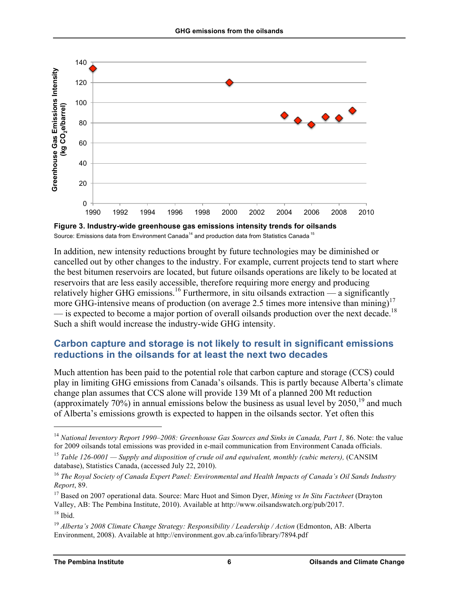

Source: Emissions data from Environment Canada<sup>14</sup> and production data from Statistics Canada<sup>15</sup>

In addition, new intensity reductions brought by future technologies may be diminished or cancelled out by other changes to the industry. For example, current projects tend to start where the best bitumen reservoirs are located, but future oilsands operations are likely to be located at reservoirs that are less easily accessible, therefore requiring more energy and producing relatively higher GHG emissions.<sup>16</sup> Furthermore, in situ oilsands extraction — a significantly more GHG-intensive means of production (on average 2.5 times more intensive than mining)<sup>17</sup> — is expected to become a major portion of overall oilsands production over the next decade.<sup>18</sup> Such a shift would increase the industry-wide GHG intensity.

# **Carbon capture and storage is not likely to result in significant emissions reductions in the oilsands for at least the next two decades**

Much attention has been paid to the potential role that carbon capture and storage (CCS) could play in limiting GHG emissions from Canada's oilsands. This is partly because Alberta's climate change plan assumes that CCS alone will provide 139 Mt of a planned 200 Mt reduction (approximately 70%) in annual emissions below the business as usual level by  $2050$ ,<sup>19</sup> and much of Alberta's emissions growth is expected to happen in the oilsands sector. Yet often this

<sup>&</sup>lt;sup>14</sup> *National Inventory Report 1990–2008: Greenhouse Gas Sources and Sinks in Canada, Part 1, 86. Note: the value* for 2009 oilsands total emissions was provided in e-mail communication from Environment Canada officials.

<sup>15</sup> *Table 126-0001 — Supply and disposition of crude oil and equivalent, monthly (cubic meters),* (CANSIM database), Statistics Canada, (accessed July 22, 2010).

<sup>16</sup> *The Royal Society of Canada Expert Panel: Environmental and Health Impacts of Canada's Oil Sands Industry Report*, 89.

<sup>&</sup>lt;sup>17</sup> Based on 2007 operational data. Source: Marc Huot and Simon Dyer, *Mining vs In Situ Factsheet* (Drayton Valley, AB: The Pembina Institute, 2010). Available at http://www.oilsandswatch.org/pub/2017.  $18$  Ibid.

<sup>&</sup>lt;sup>19</sup> Alberta's 2008 Climate Change Strategy: Responsibility / Leadership / Action (Edmonton, AB: Alberta Environment, 2008). Available at http://environment.gov.ab.ca/info/library/7894.pdf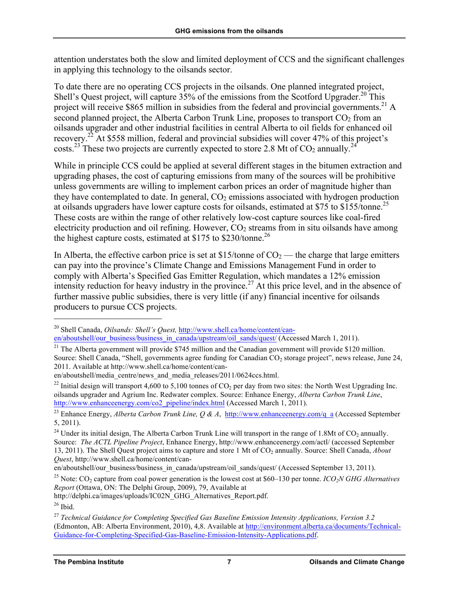attention understates both the slow and limited deployment of CCS and the significant challenges in applying this technology to the oilsands sector.

To date there are no operating CCS projects in the oilsands. One planned integrated project, Shell's Quest project, will capture  $35\%$  of the emissions from the Scotford Upgrader.<sup>20</sup> This project will receive \$865 million in subsidies from the federal and provincial governments.<sup>21</sup> A second planned project, the Alberta Carbon Trunk Line, proposes to transport  $CO<sub>2</sub>$  from an oilsands upgrader and other industrial facilities in central Alberta to oil fields for enhanced oil recovery.22 At \$558 million, federal and provincial subsidies will cover 47% of this project's costs.<sup>23</sup> These two projects are currently expected to store 2.8 Mt of  $CO_2$  annually.<sup>24</sup>

While in principle CCS could be applied at several different stages in the bitumen extraction and upgrading phases, the cost of capturing emissions from many of the sources will be prohibitive unless governments are willing to implement carbon prices an order of magnitude higher than they have contemplated to date. In general,  $CO<sub>2</sub>$  emissions associated with hydrogen production at oilsands upgraders have lower capture costs for oilsands, estimated at \$75 to \$155/tonne.<sup>25</sup> These costs are within the range of other relatively low-cost capture sources like coal-fired electricity production and oil refining. However,  $CO<sub>2</sub>$  streams from in situ oilsands have among the highest capture costs, estimated at \$175 to \$230/tonne.<sup>26</sup>

In Alberta, the effective carbon price is set at \$15/tonne of  $CO<sub>2</sub>$  — the charge that large emitters can pay into the province's Climate Change and Emissions Management Fund in order to comply with Alberta's Specified Gas Emitter Regulation, which mandates a 12% emission intensity reduction for heavy industry in the province.<sup>27</sup> At this price level, and in the absence of further massive public subsidies, there is very little (if any) financial incentive for oilsands producers to pursue CCS projects.

 <sup>20</sup> Shell Canada, *Oilsands: Shell's Quest,* http://www.shell.ca/home/content/canen/aboutshell/our\_business/business\_in\_canada/upstream/oil\_sands/quest/ (Accessed March 1, 2011).

<sup>&</sup>lt;sup>21</sup> The Alberta government will provide \$745 million and the Canadian government will provide \$120 million. Source: Shell Canada, "Shell, governments agree funding for Canadian CO<sub>2</sub> storage project", news release, June 24, 2011. Available at http://www.shell.ca/home/content/can-

en/aboutshell/media\_centre/news\_and\_media\_releases/2011/0624ccs.html.

<sup>&</sup>lt;sup>22</sup> Initial design will transport 4,600 to 5,100 tonnes of  $CO<sub>2</sub>$  per day from two sites: the North West Upgrading Inc. oilsands upgrader and Agrium Inc. Redwater complex. Source: Enhance Energy, *Alberta Carbon Trunk Line*, http://www.enhanceenergy.com/co2\_pipeline/index.html (Accessed March 1, 2011).

<sup>&</sup>lt;sup>23</sup> Enhance Energy, *Alberta Carbon Trunk Line, Q & A*, http://www.enhanceenergy.com/q\_a (Accessed September 5, 2011).

<sup>&</sup>lt;sup>24</sup> Under its initial design, The Alberta Carbon Trunk Line will transport in the range of 1.8Mt of  $CO_2$  annually. Source: *The ACTL Pipeline Project*, Enhance Energy, http://www.enhanceenergy.com/actl/ (accessed September 13, 2011). The Shell Quest project aims to capture and store 1 Mt of CO2 annually. Source: Shell Canada, *About Quest*, http://www.shell.ca/home/content/can-

en/aboutshell/our\_business/business\_in\_canada/upstream/oil\_sands/quest/ (Accessed September 13, 2011).

<sup>&</sup>lt;sup>25</sup> Note:  $CO_2$  capture from coal power generation is the lowest cost at \$60–130 per tonne. *ICO<sub>2</sub>N GHG Alternatives Report* (Ottawa, ON: The Delphi Group, 2009), 79, Available at

http://delphi.ca/images/uploads/IC02N\_GHG\_Alternatives\_Report.pdf.

<sup>26</sup> Ibid.

<sup>27</sup> *Technical Guidance for Completing Specified Gas Baseline Emission Intensity Applications, Version 3.2* (Edmonton, AB: Alberta Environment, 2010), 4,8. Available at http://environment.alberta.ca/documents/Technical-Guidance-for-Completing-Specified-Gas-Baseline-Emission-Intensity-Applications.pdf.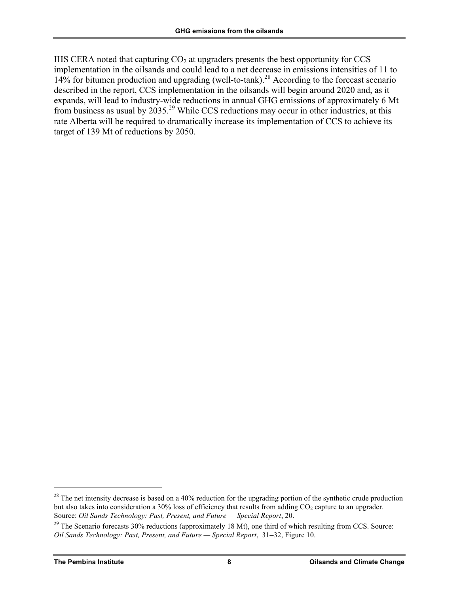IHS CERA noted that capturing  $CO<sub>2</sub>$  at upgraders presents the best opportunity for CCS implementation in the oilsands and could lead to a net decrease in emissions intensities of 11 to 14% for bitumen production and upgrading (well-to-tank).<sup>28</sup> According to the forecast scenario described in the report, CCS implementation in the oilsands will begin around 2020 and, as it expands, will lead to industry-wide reductions in annual GHG emissions of approximately 6 Mt from business as usual by 2035.<sup>29</sup> While CCS reductions may occur in other industries, at this rate Alberta will be required to dramatically increase its implementation of CCS to achieve its target of 139 Mt of reductions by 2050.

 $^{28}$  The net intensity decrease is based on a 40% reduction for the upgrading portion of the synthetic crude production but also takes into consideration a 30% loss of efficiency that results from adding CO<sub>2</sub> capture to an upgrader.<br>Source: *Oil Sands Technology: Past, Present, and Future* — *Special Report*, 20.

<sup>&</sup>lt;sup>29</sup> The Scenario forecasts 30% reductions (approximately 18 Mt), one third of which resulting from CCS. Source: *Oil Sands Technology: Past, Present, and Future — Special Report*, 31–32, Figure 10.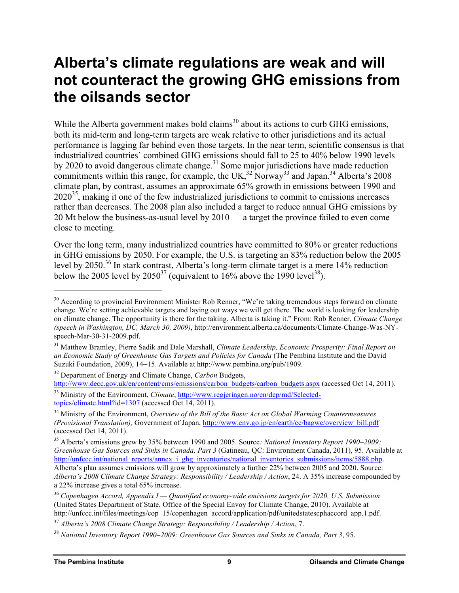# **Alberta's climate regulations are weak and will not counteract the growing GHG emissions from the oilsands sector**

While the Alberta government makes bold claims<sup>30</sup> about its actions to curb GHG emissions, both its mid-term and long-term targets are weak relative to other jurisdictions and its actual performance is lagging far behind even those targets. In the near term, scientific consensus is that industrialized countries' combined GHG emissions should fall to 25 to 40% below 1990 levels by 2020 to avoid dangerous climate change.<sup>31</sup> Some major jurisdictions have made reduction commitments within this range, for example, the  $UK<sup>32</sup>$  Norway<sup>33</sup> and Japan.<sup>34</sup> Alberta's 2008 climate plan, by contrast, assumes an approximate 65% growth in emissions between 1990 and  $2020^{35}$ , making it one of the few industrialized jurisdictions to commit to emissions increases rather than decreases. The 2008 plan also included a target to reduce annual GHG emissions by 20 Mt below the business-as-usual level by 2010 — a target the province failed to even come close to meeting.

Over the long term, many industrialized countries have committed to 80% or greater reductions in GHG emissions by 2050. For example, the U.S. is targeting an 83% reduction below the 2005 level by 2050.<sup>36</sup> In stark contrast, Alberta's long-term climate target is a mere 14% reduction below the 2005 level by  $2050^{37}$  (equivalent to  $16\%$  above the 1990 level<sup>38</sup>).

<sup>32</sup> Department of Energy and Climate Change, *Carbon* Budgets,

http://www.decc.gov.uk/en/content/cms/emissions/carbon\_budgets/carbon\_budgets.aspx (accessed Oct 14, 2011). <sup>33</sup> Ministry of the Environment, *Climate*, http://www.regjeringen.no/en/dep/md/Selected-

topics/climate.html?id=1307 (accessed Oct 14, 2011).

<sup>&</sup>lt;sup>30</sup> According to provincial Environment Minister Rob Renner, "We're taking tremendous steps forward on climate change. We're setting achievable targets and laying out ways we will get there. The world is looking for leadership on climate change. The opportunity is there for the taking. Alberta is taking it." From: Rob Renner, *Climate Change (speech in Washington, DC, March 30, 2009)*, http://environment.alberta.ca/documents/Climate-Change-Was-NYspeech-Mar-30-31-2009.pdf.

<sup>31</sup> Matthew Bramley, Pierre Sadik and Dale Marshall, *Climate Leadership, Economic Prosperity: Final Report on an Economic Study of Greenhouse Gas Targets and Policies for Canada* (The Pembina Institute and the David Suzuki Foundation, 2009), 14–15. Available at http://www.pembina.org/pub/1909.

<sup>34</sup> Ministry of the Environment, *Overview of the Bill of the Basic Act on Global Warming Countermeasures (Provisional Translation),* Government of Japan, http://www.env.go.jp/en/earth/cc/bagwc/overview\_bill.pdf (accessed Oct 14, 2011).

<sup>35</sup> Alberta's emissions grew by 35% between 1990 and 2005. Source*: National Inventory Report 1990–2009: Greenhouse Gas Sources and Sinks in Canada, Part 3* (Gatineau, QC: Environment Canada, 2011), 95. Available at http://unfccc.int/national\_reports/annex\_i\_ghg\_inventories/national\_inventories\_submissions/items/5888.php. Alberta's plan assumes emissions will grow by approximately a further 22% between 2005 and 2020. Source: *Alberta's 2008 Climate Change Strategy: Responsibility / Leadership / Action*, 24. A 35% increase compounded by a 22% increase gives a total 65% increase.

<sup>36</sup> *Copenhagen Accord, Appendix I — Quantified economy-wide emissions targets for 2020. U.S. Submission* (United States Department of State, Office of the Special Envoy for Climate Change, 2010). Available at http://unfccc.int/files/meetings/cop\_15/copenhagen\_accord/application/pdf/unitedstatescphaccord\_app.1.pdf.

<sup>37</sup> *Alberta's 2008 Climate Change Strategy: Responsibility / Leadership / Action*, 7.

<sup>38</sup> *National Inventory Report 1990–2009: Greenhouse Gas Sources and Sinks in Canada, Part 3*, 95.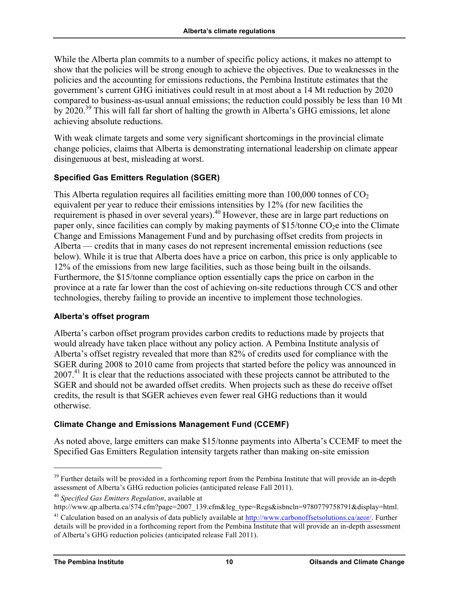While the Alberta plan commits to a number of specific policy actions, it makes no attempt to show that the policies will be strong enough to achieve the objectives. Due to weaknesses in the policies and the accounting for emissions reductions, the Pembina Institute estimates that the government's current GHG initiatives could result in at most about a 14 Mt reduction by 2020 compared to business-as-usual annual emissions; the reduction could possibly be less than 10 Mt by 2020.<sup>39</sup> This will fall far short of halting the growth in Alberta's GHG emissions, let alone achieving absolute reductions.

With weak climate targets and some very significant shortcomings in the provincial climate change policies, claims that Alberta is demonstrating international leadership on climate appear disingenuous at best, misleading at worst.

#### **Specified Gas Emitters Regulation (SGER)**

This Alberta regulation requires all facilities emitting more than  $100,000$  tonnes of  $CO<sub>2</sub>$ equivalent per year to reduce their emissions intensities by 12% (for new facilities the requirement is phased in over several years).<sup>40</sup> However, these are in large part reductions on paper only, since facilities can comply by making payments of  $$15$ /tonne CO<sub>2</sub>e into the Climate Change and Emissions Management Fund and by purchasing offset credits from projects in Alberta — credits that in many cases do not represent incremental emission reductions (see below). While it is true that Alberta does have a price on carbon, this price is only applicable to 12% of the emissions from new large facilities, such as those being built in the oilsands. Furthermore, the \$15/tonne compliance option essentially caps the price on carbon in the province at a rate far lower than the cost of achieving on-site reductions through CCS and other technologies, thereby failing to provide an incentive to implement those technologies.

#### **Alberta's offset program**

Alberta's carbon offset program provides carbon credits to reductions made by projects that would already have taken place without any policy action. A Pembina Institute analysis of Alberta's offset registry revealed that more than 82% of credits used for compliance with the SGER during 2008 to 2010 came from projects that started before the policy was announced in 2007.<sup>41</sup> It is clear that the reductions associated with these projects cannot be attributed to the SGER and should not be awarded offset credits. When projects such as these do receive offset credits, the result is that SGER achieves even fewer real GHG reductions than it would otherwise.

#### **Climate Change and Emissions Management Fund (CCEMF)**

As noted above, large emitters can make \$15/tonne payments into Alberta's CCEMF to meet the Specified Gas Emitters Regulation intensity targets rather than making on-site emission

<sup>&</sup>lt;sup>39</sup> Further details will be provided in a forthcoming report from the Pembina Institute that will provide an in-depth assessment of Alberta's GHG reduction policies (anticipated release Fall 2011).

<sup>40</sup> *Specified Gas Emitters Regulation*, available at

http://www.qp.alberta.ca/574.cfm?page=2007\_139.cfm&leg\_type=Regs&isbncln=9780779758791&display=html.

 $^{41}$  Calculation based on an analysis of data publicly available at http://www.carbonoffsetsolutions.ca/aeor/. Further details will be provided in a forthcoming report from the Pembina Institute that will provide an in-depth assessment of Alberta's GHG reduction policies (anticipated release Fall 2011).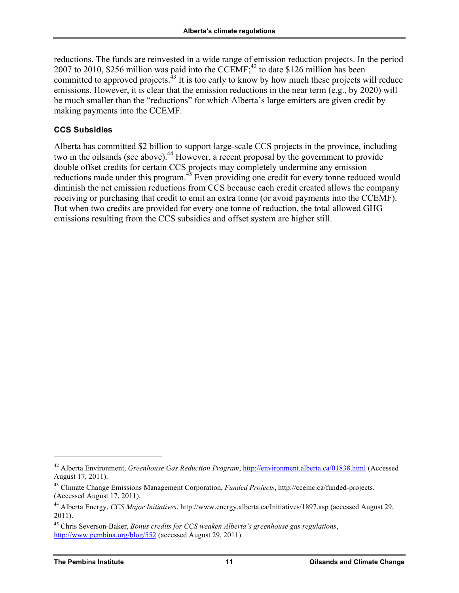reductions. The funds are reinvested in a wide range of emission reduction projects. In the period 2007 to 2010, \$256 million was paid into the CCEMF;<sup>42</sup> to date \$126 million has been committed to approved projects.<sup>43</sup> It is too early to know by how much these projects will reduce emissions. However, it is clear that the emission reductions in the near term (e.g., by 2020) will be much smaller than the "reductions" for which Alberta's large emitters are given credit by making payments into the CCEMF.

#### **CCS Subsidies**

Alberta has committed \$2 billion to support large-scale CCS projects in the province, including two in the oilsands (see above).<sup>44</sup> However, a recent proposal by the government to provide double offset credits for certain CCS projects may completely undermine any emission reductions made under this program.<sup>45</sup> Even providing one credit for every tonne reduced would diminish the net emission reductions from CCS because each credit created allows the company receiving or purchasing that credit to emit an extra tonne (or avoid payments into the CCEMF). But when two credits are provided for every one tonne of reduction, the total allowed GHG emissions resulting from the CCS subsidies and offset system are higher still.

 <sup>42</sup> Alberta Environment, *Greenhouse Gas Reduction Program*, http://environment.alberta.ca/01838.html (Accessed August 17, 2011).

<sup>43</sup> Climate Change Emissions Management Corporation, *Funded Projects*, http://ccemc.ca/funded-projects. (Accessed August 17, 2011).

<sup>44</sup> Alberta Energy, *CCS Major Initiatives*, http://www.energy.alberta.ca/Initiatives/1897.asp (accessed August 29, 2011).

<sup>45</sup> Chris Severson-Baker, *Bonus credits for CCS weaken Alberta's greenhouse gas regulations*, http://www.pembina.org/blog/552 (accessed August 29, 2011).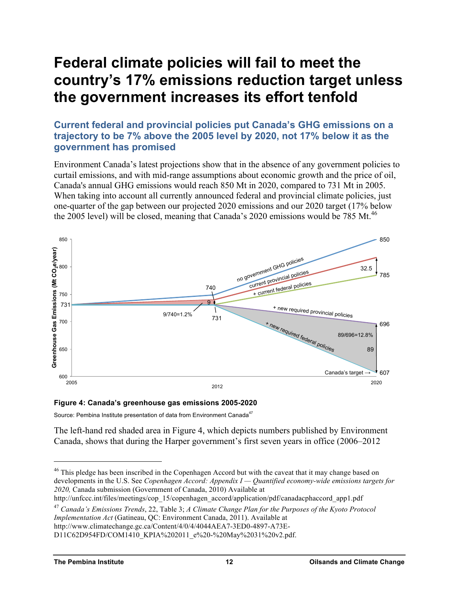# **Federal climate policies will fail to meet the country's 17% emissions reduction target unless the government increases its effort tenfold**

**Current federal and provincial policies put Canada's GHG emissions on a trajectory to be 7% above the 2005 level by 2020, not 17% below it as the government has promised**

Environment Canada's latest projections show that in the absence of any government policies to curtail emissions, and with mid-range assumptions about economic growth and the price of oil, Canada's annual GHG emissions would reach 850 Mt in 2020, compared to 731 Mt in 2005. When taking into account all currently announced federal and provincial climate policies, just one-quarter of the gap between our projected 2020 emissions and our 2020 target (17% below the 2005 level) will be closed, meaning that Canada's 2020 emissions would be 785 Mt.<sup>46</sup>



#### **Figure 4: Canada's greenhouse gas emissions 2005-2020**

Source: Pembina Institute presentation of data from Environment Canada<sup>47</sup>

The left-hand red shaded area in Figure 4, which depicts numbers published by Environment Canada, shows that during the Harper government's first seven years in office (2006–2012

http://unfccc.int/files/meetings/cop\_15/copenhagen\_accord/application/pdf/canadacphaccord\_app1.pdf

<sup>47</sup> *Canada's Emissions Trends*, 22, Table 3; *A Climate Change Plan for the Purposes of the Kyoto Protocol Implementation Act* (Gatineau, QC: Environment Canada, 2011). Available at

<sup>&</sup>lt;sup>46</sup> This pledge has been inscribed in the Copenhagen Accord but with the caveat that it may change based on developments in the U.S. See *Copenhagen Accord: Appendix I — Quantified economy-wide emissions targets for 2020,* Canada submission (Government of Canada, 2010) Available at

http://www.climatechange.gc.ca/Content/4/0/4/4044AEA7-3ED0-4897-A73E-

D11C62D954FD/COM1410\_KPIA%202011\_e%20-%20May%2031%20v2.pdf.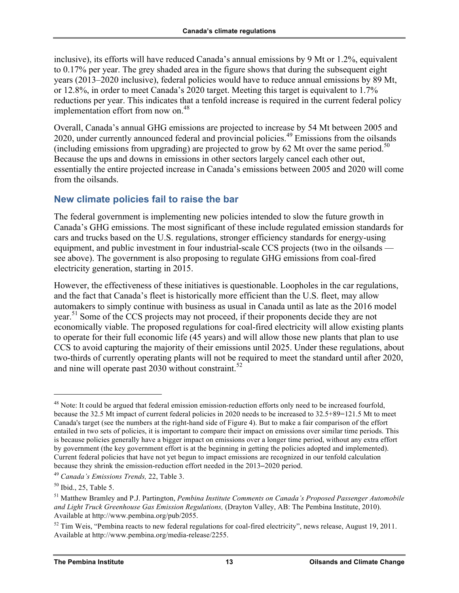inclusive), its efforts will have reduced Canada's annual emissions by 9 Mt or 1.2%, equivalent to 0.17% per year. The grey shaded area in the figure shows that during the subsequent eight years (2013–2020 inclusive), federal policies would have to reduce annual emissions by 89 Mt, or 12.8%, in order to meet Canada's 2020 target. Meeting this target is equivalent to 1.7% reductions per year. This indicates that a tenfold increase is required in the current federal policy implementation effort from now on. 48

Overall, Canada's annual GHG emissions are projected to increase by 54 Mt between 2005 and 2020, under currently announced federal and provincial policies.<sup>49</sup> Emissions from the oilsands (including emissions from upgrading) are projected to grow by 62 Mt over the same period.<sup>50</sup> Because the ups and downs in emissions in other sectors largely cancel each other out, essentially the entire projected increase in Canada's emissions between 2005 and 2020 will come from the oilsands.

# **New climate policies fail to raise the bar**

The federal government is implementing new policies intended to slow the future growth in Canada's GHG emissions. The most significant of these include regulated emission standards for cars and trucks based on the U.S. regulations, stronger efficiency standards for energy-using equipment, and public investment in four industrial-scale CCS projects (two in the oilsands see above). The government is also proposing to regulate GHG emissions from coal-fired electricity generation, starting in 2015.

However, the effectiveness of these initiatives is questionable. Loopholes in the car regulations, and the fact that Canada's fleet is historically more efficient than the U.S. fleet, may allow automakers to simply continue with business as usual in Canada until as late as the 2016 model year.<sup>51</sup> Some of the CCS projects may not proceed, if their proponents decide they are not economically viable. The proposed regulations for coal-fired electricity will allow existing plants to operate for their full economic life (45 years) and will allow those new plants that plan to use CCS to avoid capturing the majority of their emissions until 2025. Under these regulations, about two-thirds of currently operating plants will not be required to meet the standard until after 2020, and nine will operate past  $2030$  without constraint.<sup>52</sup>

<sup>&</sup>lt;sup>48</sup> Note: It could be argued that federal emission emission-reduction efforts only need to be increased fourfold. because the 32.5 Mt impact of current federal policies in 2020 needs to be increased to 32.5+89=121.5 Mt to meet Canada's target (see the numbers at the right-hand side of Figure 4). But to make a fair comparison of the effort entailed in two sets of policies, it is important to compare their impact on emissions over similar time periods. This is because policies generally have a bigger impact on emissions over a longer time period, without any extra effort by government (the key government effort is at the beginning in getting the policies adopted and implemented). Current federal policies that have not yet begun to impact emissions are recognized in our tenfold calculation because they shrink the emission-reduction effort needed in the 2013–2020 period.

<sup>49</sup> *Canada's Emissions Trends,* 22, Table 3.

 $50$  Ibid., 25, Table 5.

<sup>51</sup> Matthew Bramley and P.J. Partington, *Pembina Institute Comments on Canada's Proposed Passenger Automobile and Light Truck Greenhouse Gas Emission Regulations,* (Drayton Valley, AB: The Pembina Institute, 2010). Available at http://www.pembina.org/pub/2055.

 $52$  Tim Weis, "Pembina reacts to new federal regulations for coal-fired electricity", news release, August 19, 2011. Available at http://www.pembina.org/media-release/2255.